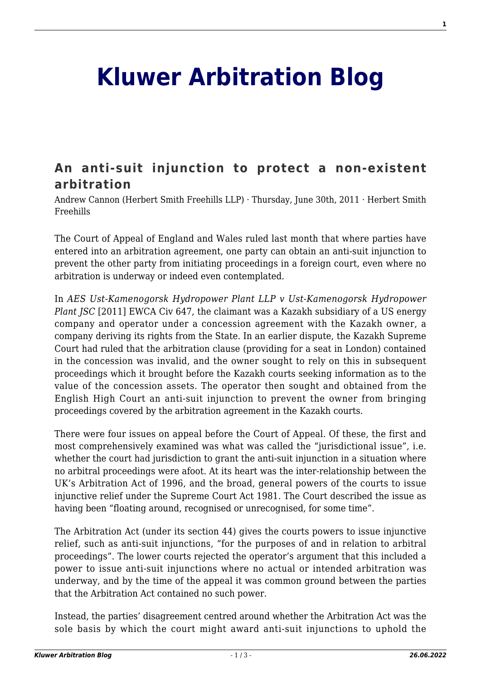## **[Kluwer Arbitration Blog](http://arbitrationblog.kluwerarbitration.com/)**

## **[An anti-suit injunction to protect a non-existent](http://arbitrationblog.kluwerarbitration.com/2011/06/30/anti-suit-injunction/) [arbitration](http://arbitrationblog.kluwerarbitration.com/2011/06/30/anti-suit-injunction/)**

Andrew Cannon (Herbert Smith Freehills LLP) · Thursday, June 30th, 2011 · Herbert Smith Freehills

The Court of Appeal of England and Wales ruled last month that where parties have entered into an arbitration agreement, one party can obtain an anti-suit injunction to prevent the other party from initiating proceedings in a foreign court, even where no arbitration is underway or indeed even contemplated.

In *AES Ust-Kamenogorsk Hydropower Plant LLP v Ust-Kamenogorsk Hydropower Plant JSC* [2011] EWCA Civ 647, the claimant was a Kazakh subsidiary of a US energy company and operator under a concession agreement with the Kazakh owner, a company deriving its rights from the State. In an earlier dispute, the Kazakh Supreme Court had ruled that the arbitration clause (providing for a seat in London) contained in the concession was invalid, and the owner sought to rely on this in subsequent proceedings which it brought before the Kazakh courts seeking information as to the value of the concession assets. The operator then sought and obtained from the English High Court an anti-suit injunction to prevent the owner from bringing proceedings covered by the arbitration agreement in the Kazakh courts.

There were four issues on appeal before the Court of Appeal. Of these, the first and most comprehensively examined was what was called the "jurisdictional issue", i.e. whether the court had jurisdiction to grant the anti-suit injunction in a situation where no arbitral proceedings were afoot. At its heart was the inter-relationship between the UK's Arbitration Act of 1996, and the broad, general powers of the courts to issue injunctive relief under the Supreme Court Act 1981. The Court described the issue as having been "floating around, recognised or unrecognised, for some time".

The Arbitration Act (under its section 44) gives the courts powers to issue injunctive relief, such as anti-suit injunctions, "for the purposes of and in relation to arbitral proceedings". The lower courts rejected the operator's argument that this included a power to issue anti-suit injunctions where no actual or intended arbitration was underway, and by the time of the appeal it was common ground between the parties that the Arbitration Act contained no such power.

Instead, the parties' disagreement centred around whether the Arbitration Act was the sole basis by which the court might award anti-suit injunctions to uphold the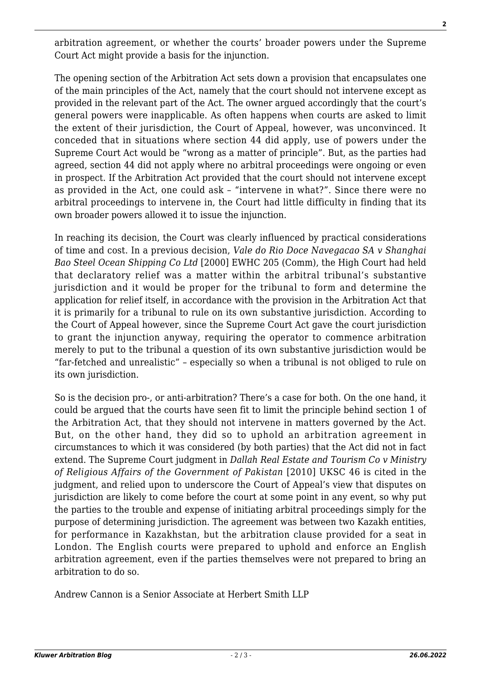arbitration agreement, or whether the courts' broader powers under the Supreme Court Act might provide a basis for the injunction.

The opening section of the Arbitration Act sets down a provision that encapsulates one of the main principles of the Act, namely that the court should not intervene except as provided in the relevant part of the Act. The owner argued accordingly that the court's general powers were inapplicable. As often happens when courts are asked to limit the extent of their jurisdiction, the Court of Appeal, however, was unconvinced. It conceded that in situations where section 44 did apply, use of powers under the Supreme Court Act would be "wrong as a matter of principle". But, as the parties had agreed, section 44 did not apply where no arbitral proceedings were ongoing or even in prospect. If the Arbitration Act provided that the court should not intervene except as provided in the Act, one could ask – "intervene in what?". Since there were no arbitral proceedings to intervene in, the Court had little difficulty in finding that its own broader powers allowed it to issue the injunction.

In reaching its decision, the Court was clearly influenced by practical considerations of time and cost. In a previous decision, *Vale do Rio Doce Navegacao SA v Shanghai Bao Steel Ocean Shipping Co Ltd* [2000] EWHC 205 (Comm), the High Court had held that declaratory relief was a matter within the arbitral tribunal's substantive jurisdiction and it would be proper for the tribunal to form and determine the application for relief itself, in accordance with the provision in the Arbitration Act that it is primarily for a tribunal to rule on its own substantive jurisdiction. According to the Court of Appeal however, since the Supreme Court Act gave the court jurisdiction to grant the injunction anyway, requiring the operator to commence arbitration merely to put to the tribunal a question of its own substantive jurisdiction would be "far-fetched and unrealistic" – especially so when a tribunal is not obliged to rule on its own jurisdiction.

So is the decision pro-, or anti-arbitration? There's a case for both. On the one hand, it could be argued that the courts have seen fit to limit the principle behind section 1 of the Arbitration Act, that they should not intervene in matters governed by the Act. But, on the other hand, they did so to uphold an arbitration agreement in circumstances to which it was considered (by both parties) that the Act did not in fact extend. The Supreme Court judgment in *Dallah Real Estate and Tourism Co v Ministry of Religious Affairs of the Government of Pakistan* [2010] UKSC 46 is cited in the judgment, and relied upon to underscore the Court of Appeal's view that disputes on jurisdiction are likely to come before the court at some point in any event, so why put the parties to the trouble and expense of initiating arbitral proceedings simply for the purpose of determining jurisdiction. The agreement was between two Kazakh entities, for performance in Kazakhstan, but the arbitration clause provided for a seat in London. The English courts were prepared to uphold and enforce an English arbitration agreement, even if the parties themselves were not prepared to bring an arbitration to do so.

Andrew Cannon is a Senior Associate at Herbert Smith LLP